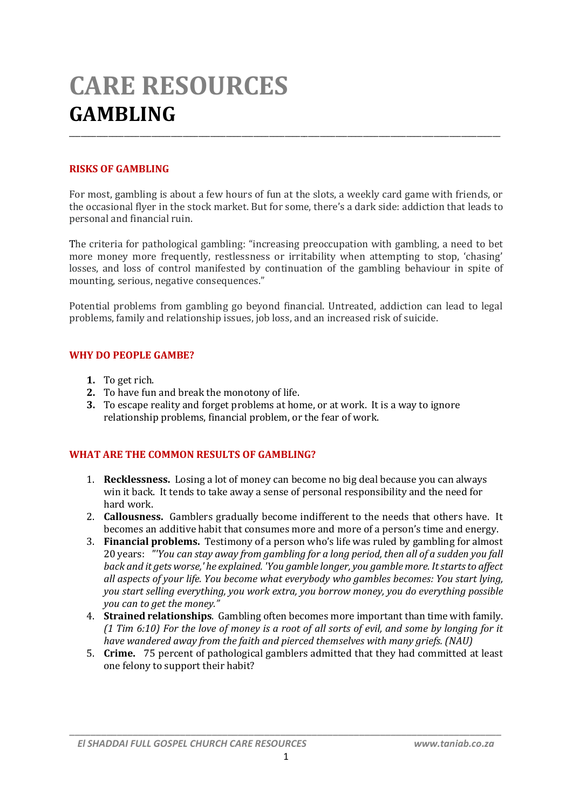# **CARE RESOURCES GAMBLING**

# **RISKS OF GAMBLING**

For most, gambling is about a few hours of fun at the slots, a weekly card game with friends, or the occasional flyer in the stock market. But for some, there's a dark side: addiction that leads to personal and financial ruin.

\_\_\_\_\_\_\_\_\_\_\_\_\_\_\_\_\_\_\_\_\_\_\_\_\_\_\_\_\_\_\_\_\_\_\_\_\_\_\_\_\_\_\_\_\_\_\_\_\_\_\_\_\_\_\_\_\_\_\_\_\_\_\_\_\_\_\_\_\_\_\_\_\_\_\_\_\_\_\_\_\_\_\_\_\_\_\_\_\_\_\_\_\_\_\_\_\_\_\_\_\_\_\_\_\_\_\_\_\_\_

The criteria for pathological gambling: "increasing preoccupation with gambling, a need to bet more money more frequently, restlessness or irritability when attempting to stop, 'chasing' losses, and loss of control manifested by continuation of the gambling behaviour in spite of mounting, serious, negative consequences."

Potential problems from gambling go beyond financial. Untreated, addiction can lead to legal problems, family and relationship issues, job loss, and an increased risk of suicide.

#### **WHY DO PEOPLE GAMBE?**

- **1.** To get rich.
- **2.** To have fun and break the monotony of life.
- **3.** To escape reality and forget problems at home, or at work. It is a way to ignore relationship problems, financial problem, or the fear of work.

#### **WHAT ARE THE COMMON RESULTS OF GAMBLING?**

- 1. **Recklessness.** Losing a lot of money can become no big deal because you can always win it back. It tends to take away a sense of personal responsibility and the need for hard work.
- 2. **Callousness.** Gamblers gradually become indifferent to the needs that others have. It becomes an additive habit that consumes more and more of a person's time and energy.
- 3. **Financial problems.** Testimony of a person who's life was ruled by gambling for almost 20 years: *"'You can stay away from gambling for a long period, then all of a sudden you fall back and it gets worse,' he explained. 'You gamble longer, you gamble more. It starts to affect all aspects of your life. You become what everybody who gambles becomes: You start lying, you start selling everything, you work extra, you borrow money, you do everything possible you can to get the money."*
- 4. **Strained relationships**. Gambling often becomes more important than time with family. *(1 Tim 6:10) For the love of money is a root of all sorts of evil, and some by longing for it have wandered away from the faith and pierced themselves with many griefs. (NAU)*
- 5. **Crime.** 75 percent of pathological gamblers admitted that they had committed at least one felony to support their habit?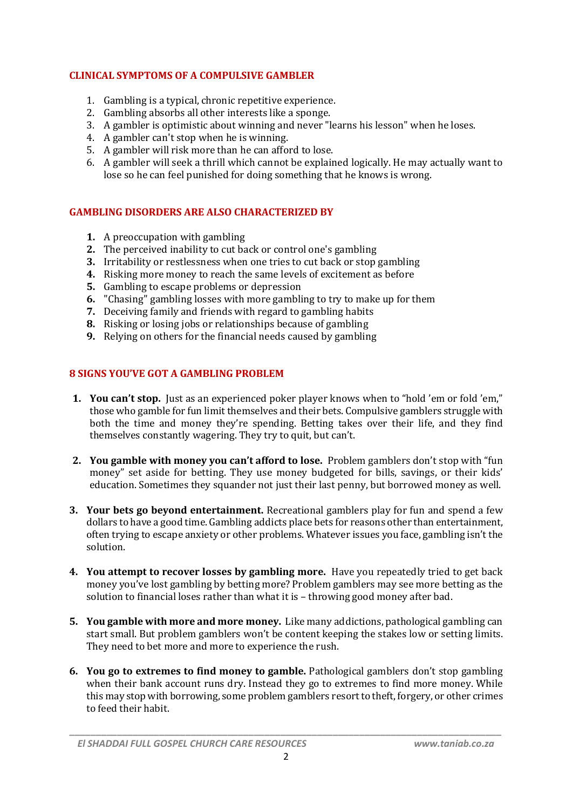## **CLINICAL SYMPTOMS OF A COMPULSIVE GAMBLER**

- 1. Gambling is a typical, chronic repetitive experience.
- 2. Gambling absorbs all other interests like a sponge.
- 3. A gambler is optimistic about winning and never "learns his lesson" when he loses.
- 4. A gambler can't stop when he is winning.
- 5. A gambler will risk more than he can afford to lose.
- 6. A gambler will seek a thrill which cannot be explained logically. He may actually want to lose so he can feel punished for doing something that he knows is wrong.

# **GAMBLING DISORDERS ARE ALSO CHARACTERIZED BY**

- **1.** A preoccupation with gambling
- **2.** The perceived inability to cut back or control one's gambling
- **3.** Irritability or restlessness when one tries to cut back or stop gambling
- **4.** Risking more money to reach the same levels of excitement as before
- **5.** Gambling to escape problems or depression
- **6.** "Chasing" gambling losses with more gambling to try to make up for them
- **7.** Deceiving family and friends with regard to gambling habits
- **8.** Risking or losing jobs or relationships because of gambling
- **9.** Relying on others for the financial needs caused by gambling

## **8 SIGNS YOU'VE GOT A GAMBLING PROBLEM**

- **1. You can't stop.** Just as an experienced poker player knows when to "hold 'em or fold 'em," those who gamble for fun limit themselves and their bets. Compulsive gamblers struggle with both the time and money they're spending. Betting takes over their life, and they find themselves constantly wagering. They try to quit, but can't.
- **2. You gamble with money you can't afford to lose.** Problem gamblers don't stop with "fun money" set aside for betting. They use money budgeted for bills, savings, or their kids' education. Sometimes they squander not just their last penny, but borrowed money as well.
- **3. Your bets go beyond entertainment.** Recreational gamblers play for fun and spend a few dollars to have a good time. Gambling addicts place bets for reasons other than entertainment, often trying to escape anxiety or other problems. Whatever issues you face, gambling isn't the solution.
- **4. You attempt to recover losses by gambling more.** Have you repeatedly tried to get back money you've lost gambling by betting more? Problem gamblers may see more betting as the solution to financial loses rather than what it is – throwing good money after bad.
- **5. You gamble with more and more money.** Like many addictions, pathological gambling can start small. But problem gamblers won't be content keeping the stakes low or setting limits. They need to bet more and more to experience the rush.
- **6. You go to extremes to find money to gamble.** Pathological gamblers don't stop gambling when their bank account runs dry. Instead they go to extremes to find more money. While this may stop with borrowing, some problem gamblers resort to theft, forgery, or other crimes to feed their habit.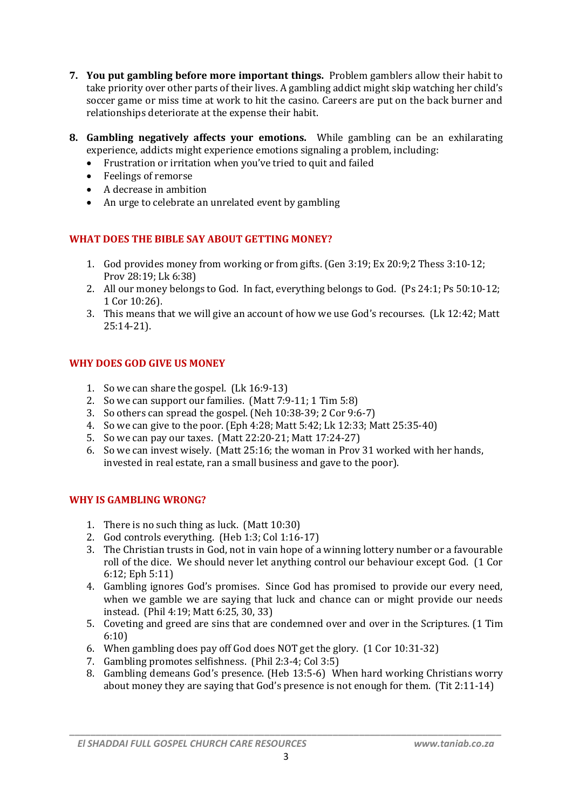- **7. You put gambling before more important things.** Problem gamblers allow their habit to take priority over other parts of their lives. A gambling addict might skip watching her child's soccer game or miss time at work to hit the casino. Careers are put on the back burner and relationships deteriorate at the expense their habit.
- **8. Gambling negatively affects your emotions.** While gambling can be an exhilarating experience, addicts might experience emotions signaling a problem, including:
	- Frustration or irritation when you've tried to quit and failed
	- Feelings of remorse
	- A decrease in ambition
	- An urge to celebrate an unrelated event by gambling

## **WHAT DOES THE BIBLE SAY ABOUT GETTING MONEY?**

- 1. God provides money from working or from gifts. (Gen 3:19; Ex 20:9;2 Thess 3:10-12; Prov 28:19; Lk 6:38)
- 2. All our money belongs to God. In fact, everything belongs to God. (Ps 24:1; Ps 50:10-12; 1 Cor 10:26).
- 3. This means that we will give an account of how we use God's recourses. (Lk 12:42; Matt 25:14-21).

## **WHY DOES GOD GIVE US MONEY**

- 1. So we can share the gospel. (Lk 16:9-13)
- 2. So we can support our families. (Matt 7:9-11; 1 Tim 5:8)
- 3. So others can spread the gospel. (Neh 10:38-39; 2 Cor 9:6-7)
- 4. So we can give to the poor. (Eph 4:28; Matt 5:42; Lk 12:33; Matt 25:35-40)
- 5. So we can pay our taxes. (Matt 22:20-21; Matt 17:24-27)
- 6. So we can invest wisely. (Matt 25:16; the woman in Prov 31 worked with her hands, invested in real estate, ran a small business and gave to the poor).

#### **WHY IS GAMBLING WRONG?**

- 1. There is no such thing as luck. (Matt 10:30)
- 2. God controls everything. (Heb 1:3; Col 1:16-17)
- 3. The Christian trusts in God, not in vain hope of a winning lottery number or a favourable roll of the dice. We should never let anything control our behaviour except God. (1 Cor 6:12; Eph 5:11)
- 4. Gambling ignores God's promises. Since God has promised to provide our every need, when we gamble we are saying that luck and chance can or might provide our needs instead. (Phil 4:19; Matt 6:25, 30, 33)
- 5. Coveting and greed are sins that are condemned over and over in the Scriptures. (1 Tim 6:10)
- 6. When gambling does pay off God does NOT get the glory. (1 Cor 10:31-32)
- 7. Gambling promotes selfishness. (Phil 2:3-4; Col 3:5)
- 8. Gambling demeans God's presence. (Heb 13:5-6) When hard working Christians worry about money they are saying that God's presence is not enough for them. (Tit 2:11-14)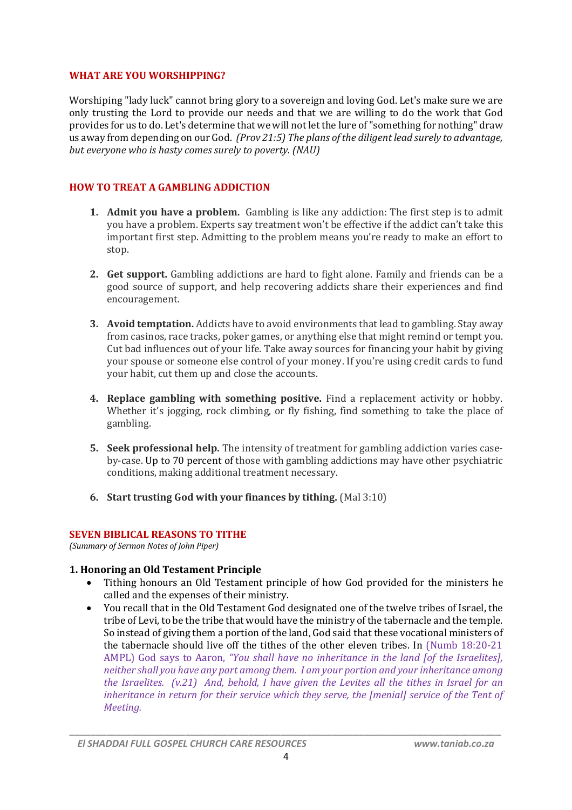#### **WHAT ARE YOU WORSHIPPING?**

Worshiping "lady luck" cannot bring glory to a sovereign and loving God. Let's make sure we are only trusting the Lord to provide our needs and that we are willing to do the work that God provides for us to do. Let's determine that we will not let the lure of "something for nothing" draw us away from depending on our God. *(Prov 21:5) The plans of the diligent lead surely to advantage, but everyone who is hasty comes surely to poverty. (NAU)*

## **HOW TO TREAT A GAMBLING ADDICTION**

- **1. Admit you have a problem.** Gambling is like any addiction: The first step is to admit you have a problem. Experts say treatment won't be effective if the addict can't take this important first step. Admitting to the problem means you're ready to make an effort to stop.
- **2. Get support.** Gambling addictions are hard to fight alone. Family and friends can be a good source of support, and help recovering addicts share their experiences and find encouragement.
- **3. Avoid temptation.** Addicts have to avoid environments that lead to gambling. Stay away from casinos, race tracks, poker games, or anything else that might remind or tempt you. Cut bad influences out of your life. Take away sources for financing your habit by giving your spouse or someone else control of your money. If you're using credit cards to fund your habit, cut them up and close the accounts.
- **4. Replace gambling with something positive.** Find a replacement activity or hobby. Whether it's jogging, rock climbing, or fly fishing, find something to take the place of gambling.
- **5. Seek professional help.** The intensity of treatment for gambling addiction varies caseby-case. Up to 70 percent of those with gambling addictions may have other psychiatric conditions, making additional treatment necessary.
- **6. Start trusting God with your finances by tithing.** (Mal 3:10)

#### **SEVEN BIBLICAL REASONS TO TITHE**

*(Summary of Sermon Notes of John Piper)*

#### **1. Honoring an Old Testament Principle**

- Tithing honours an Old Testament principle of how God provided for the ministers he called and the expenses of their ministry.
- You recall that in the Old Testament God designated one of the twelve tribes of Israel, the tribe of Levi, to be the tribe that would have the ministry of the tabernacle and the temple. So instead of giving them a portion of the land, God said that these vocational ministers of the tabernacle should live off the tithes of the other eleven tribes. In (Numb 18:20-21 AMPL) God says to Aaron, *"You shall have no inheritance in the land [of the Israelites], neither shall you have any part among them. I am your portion and your inheritance among the Israelites. (v.21) And, behold, I have given the Levites all the tithes in Israel for an inheritance in return for their service which they serve, the [menial] service of the Tent of Meeting.*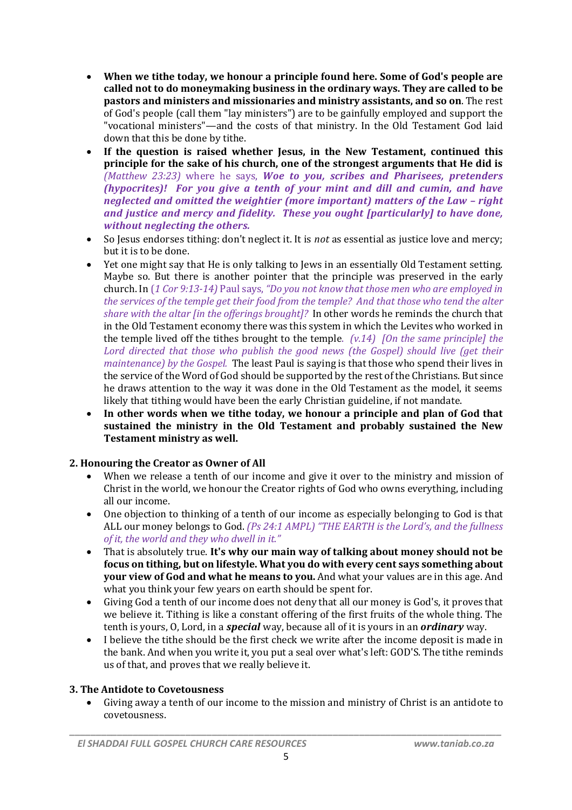- **When we tithe today, we honour a principle found here. Some of God's people are called not to do moneymaking business in the ordinary ways. They are called to be pastors and ministers and missionaries and ministry assistants, and so on**. The rest of God's people (call them "lay ministers") are to be gainfully employed and support the "vocational ministers"—and the costs of that ministry. In the Old Testament God laid down that this be done by tithe.
- **If the question is raised whether Jesus, in the New Testament, continued this principle for the sake of his church, one of the strongest arguments that He did is** *(Matthew 23:23)* where he says, *Woe to you, scribes and Pharisees, pretenders (hypocrites)! For you give a tenth of your mint and dill and cumin, and have neglected and omitted the weightier (more important) matters of the Law – right and justice and mercy and fidelity. These you ought [particularly] to have done, without neglecting the others.*
- So Jesus endorses tithing: don't neglect it. It is *not* as essential as justice love and mercy; but it is to be done.
- Yet one might say that He is only talking to Jews in an essentially Old Testament setting. Maybe so. But there is another pointer that the principle was preserved in the early church. In (*1 Cor 9:13-14)* Paul says, *"Do you not know that those men who are employed in the services of the temple get their food from the temple? And that those who tend the alter share with the altar [in the offerings brought]?* In other words he reminds the church that in the Old Testament economy there was this system in which the Levites who worked in the temple lived off the tithes brought to the temple. *(v.14) [On the same principle] the*  Lord directed that those who publish the good news (the Gospel) should live (get their *maintenance) by the Gospel.* The least Paul is saying is that those who spend their lives in the service of the Word of God should be supported by the rest of the Christians. But since he draws attention to the way it was done in the Old Testament as the model, it seems likely that tithing would have been the early Christian guideline, if not mandate.
- **In other words when we tithe today, we honour a principle and plan of God that sustained the ministry in the Old Testament and probably sustained the New Testament ministry as well.**

# **2. Honouring the Creator as Owner of All**

- When we release a tenth of our income and give it over to the ministry and mission of Christ in the world, we honour the Creator rights of God who owns everything, including all our income.
- One objection to thinking of a tenth of our income as especially belonging to God is that ALL our money belongs to God. *(Ps 24:1 AMPL) "THE EARTH is the Lord's, and the fullness of it, the world and they who dwell in it."*
- That is absolutely true. **It's why our main way of talking about money should not be focus on tithing, but on lifestyle. What you do with every cent says something about your view of God and what he means to you.** And what your values are in this age. And what you think your few years on earth should be spent for.
- Giving God a tenth of our income does not deny that all our money is God's, it proves that we believe it. Tithing is like a constant offering of the first fruits of the whole thing. The tenth is yours, O, Lord, in a *special* way, because all of it is yours in an *ordinary* way.
- I believe the tithe should be the first check we write after the income deposit is made in the bank. And when you write it, you put a seal over what's left: GOD'S. The tithe reminds us of that, and proves that we really believe it.

#### **3. The Antidote to Covetousness**

 Giving away a tenth of our income to the mission and ministry of Christ is an antidote to covetousness.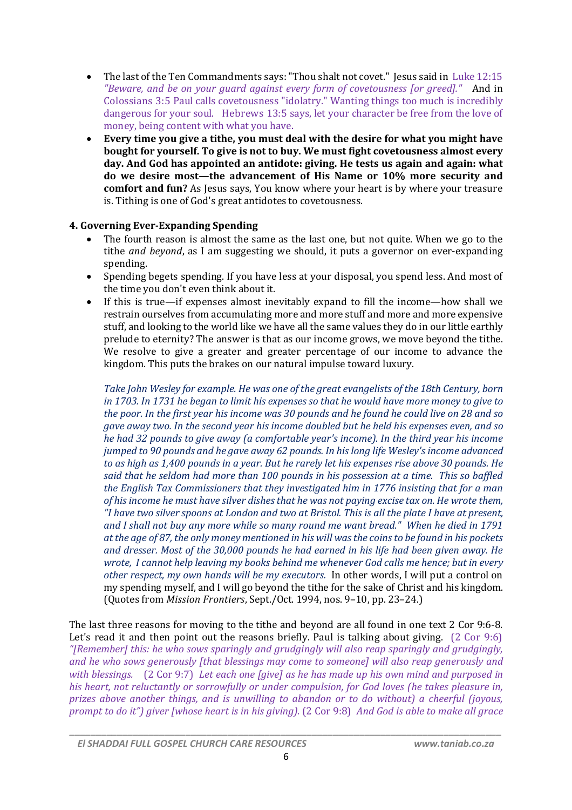- The last of the Ten Commandments says: "Thou shalt not covet." Jesus said in Luke 12:15 *"Beware, and be on your guard against every form of covetousness [or greed]."* And in Colossians 3:5 Paul calls covetousness "idolatry." Wanting things too much is incredibly dangerous for your soul. Hebrews 13:5 says, let your character be free from the love of money, being content with what you have.
- **Every time you give a tithe, you must deal with the desire for what you might have bought for yourself. To give is not to buy. We must fight covetousness almost every day. And God has appointed an antidote: giving. He tests us again and again: what do we desire most—the advancement of His Name or 10% more security and comfort and fun?** As Jesus says, You know where your heart is by where your treasure is. Tithing is one of God's great antidotes to covetousness.

# **4. Governing Ever-Expanding Spending**

- The fourth reason is almost the same as the last one, but not quite. When we go to the tithe *and beyond*, as I am suggesting we should, it puts a governor on ever-expanding spending.
- Spending begets spending. If you have less at your disposal, you spend less. And most of the time you don't even think about it.
- If this is true—if expenses almost inevitably expand to fill the income—how shall we restrain ourselves from accumulating more and more stuff and more and more expensive stuff, and looking to the world like we have all the same values they do in our little earthly prelude to eternity? The answer is that as our income grows, we move beyond the tithe. We resolve to give a greater and greater percentage of our income to advance the kingdom. This puts the brakes on our natural impulse toward luxury.

*Take John Wesley for example. He was one of the great evangelists of the 18th Century, born in 1703. In 1731 he began to limit his expenses so that he would have more money to give to the poor. In the first year his income was 30 pounds and he found he could live on 28 and so gave away two. In the second year his income doubled but he held his expenses even, and so he had 32 pounds to give away (a comfortable year's income). In the third year his income jumped to 90 pounds and he gave away 62 pounds. In his long life Wesley's income advanced to as high as 1,400 pounds in a year. But he rarely let his expenses rise above 30 pounds. He said that he seldom had more than 100 pounds in his possession at a time. This so baffled the English Tax Commissioners that they investigated him in 1776 insisting that for a man of his income he must have silver dishes that he was not paying excise tax on. He wrote them, "I have two silver spoons at London and two at Bristol. This is all the plate I have at present, and I shall not buy any more while so many round me want bread." When he died in 1791 at the age of 87, the only money mentioned in his will was the coins to be found in his pockets and dresser. Most of the 30,000 pounds he had earned in his life had been given away. He wrote, I cannot help leaving my books behind me whenever God calls me hence; but in every other respect, my own hands will be my executors.* In other words, I will put a control on my spending myself, and I will go beyond the tithe for the sake of Christ and his kingdom. (Quotes from *Mission Frontiers*, Sept./Oct. 1994, nos. 9–10, pp. 23–24.)

The last three reasons for moving to the tithe and beyond are all found in one text 2 Cor 9:6-8. Let's read it and then point out the reasons briefly. Paul is talking about giving. (2 Cor 9:6) *"[Remember] this: he who sows sparingly and grudgingly will also reap sparingly and grudgingly, and he who sows generously [that blessings may come to someone] will also reap generously and with blessings.* (2 Cor 9:7) *Let each one [give] as he has made up his own mind and purposed in his heart, not reluctantly or sorrowfully or under compulsion, for God loves (he takes pleasure in, prizes above another things, and is unwilling to abandon or to do without) a cheerful (joyous, prompt to do it") giver [whose heart is in his giving).* (2 Cor 9:8) *And God is able to make all grace*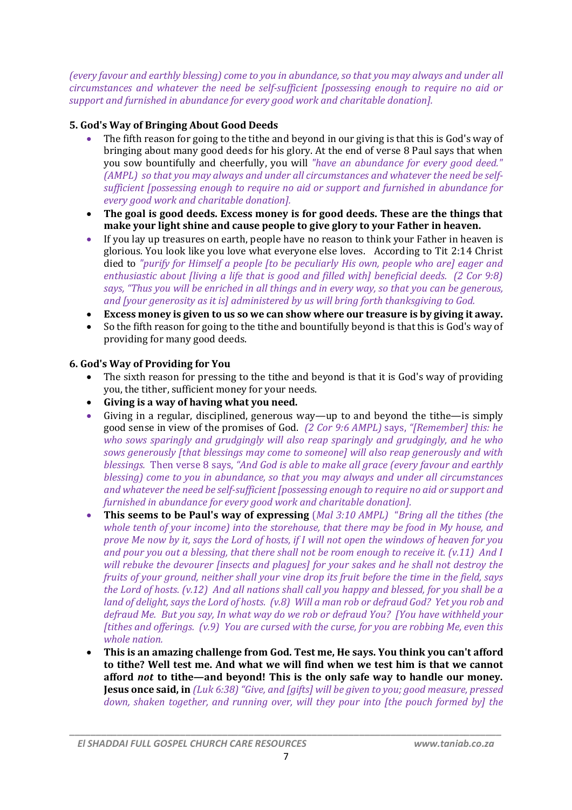*(every favour and earthly blessing) come to you in abundance, so that you may always and under all circumstances and whatever the need be self-sufficient [possessing enough to require no aid or support and furnished in abundance for every good work and charitable donation].*

# **5. God's Way of Bringing About Good Deeds**

- The fifth reason for going to the tithe and beyond in our giving is that this is God's way of bringing about many good deeds for his glory. At the end of verse 8 Paul says that when you sow bountifully and cheerfully, you will *"have an abundance for every good deed." (AMPL) so that you may always and under all circumstances and whatever the need be selfsufficient [possessing enough to require no aid or support and furnished in abundance for every good work and charitable donation].*
- **The goal is good deeds. Excess money is for good deeds. These are the things that make your light shine and cause people to give glory to your Father in heaven.**
- If you lay up treasures on earth, people have no reason to think your Father in heaven is glorious. You look like you love what everyone else loves. According to Tit 2:14 Christ died to *"purify for Himself a people [to be peculiarly His own, people who are] eager and enthusiastic about [living a life that is good and filled with] beneficial deeds. (2 Cor 9:8) says, "Thus you will be enriched in all things and in every way, so that you can be generous, and [your generosity as it is] administered by us will bring forth thanksgiving to God.*
- **Excess money is given to us so we can show where our treasure is by giving it away.**
- So the fifth reason for going to the tithe and bountifully beyond is that this is God's way of providing for many good deeds.

## **6. God's Way of Providing for You**

- The sixth reason for pressing to the tithe and beyond is that it is God's way of providing you, the tither, sufficient money for your needs.
- **Giving is a way of having what you need.**
- Giving in a regular, disciplined, generous way—up to and beyond the tithe—is simply good sense in view of the promises of God. *(2 Cor 9:6 AMPL)* says, *"[Remember] this: he who sows sparingly and grudgingly will also reap sparingly and grudgingly, and he who sows generously [that blessings may come to someone] will also reap generously and with blessings.* Then verse 8 says, *"And God is able to make all grace (every favour and earthly blessing) come to you in abundance, so that you may always and under all circumstances and whatever the need be self-sufficient [possessing enough to require no aid or support and furnished in abundance for every good work and charitable donation].*
- **This seems to be Paul's way of expressing** (*Mal 3:10 AMPL)* "*Bring all the tithes (the whole tenth of your income) into the storehouse, that there may be food in My house, and prove Me now by it, says the Lord of hosts, if I will not open the windows of heaven for you and pour you out a blessing, that there shall not be room enough to receive it. (v.11) And I will rebuke the devourer [insects and plagues] for your sakes and he shall not destroy the fruits of your ground, neither shall your vine drop its fruit before the time in the field, says the Lord of hosts. (v.12) And all nations shall call you happy and blessed, for you shall be a land of delight, says the Lord of hosts. (v.8) Will a man rob or defraud God? Yet you rob and defraud Me. But you say, In what way do we rob or defraud You? [You have withheld your [tithes and offerings. (v.9) You are cursed with the curse, for you are robbing Me, even this whole nation.*
- **This is an amazing challenge from God. Test me, He says. You think you can't afford to tithe? Well test me. And what we will find when we test him is that we cannot afford** *not* **to tithe—and beyond! This is the only safe way to handle our money. Jesus once said, in** *(Luk 6:38) "Give, and [gifts] will be given to you; good measure, pressed down, shaken together, and running over, will they pour into [the pouch formed by] the*